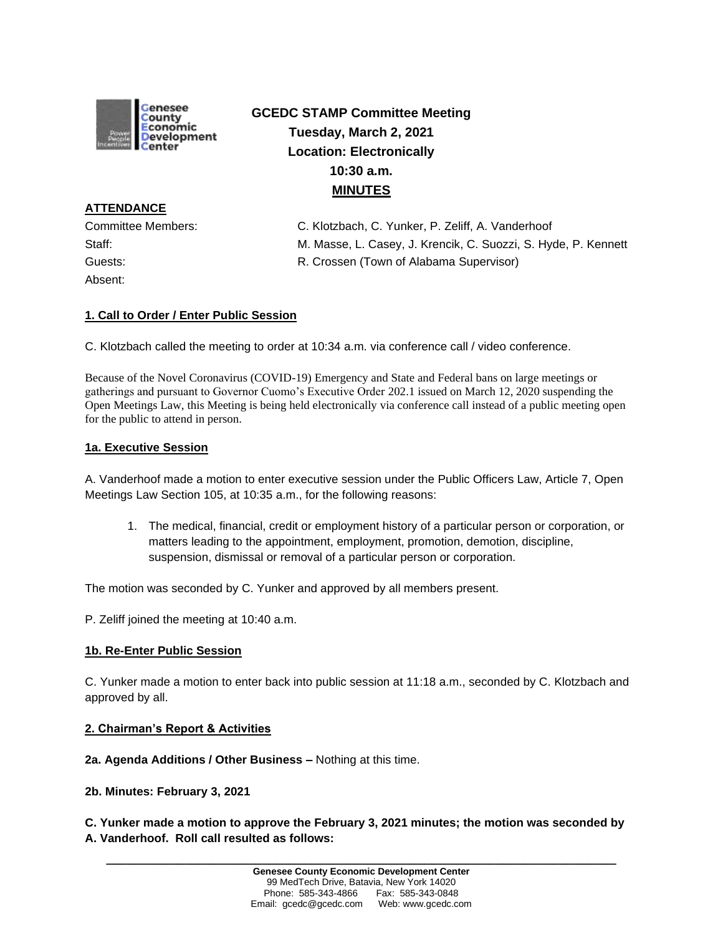

# **GCEDC STAMP Committee Meeting Tuesday, March 2, 2021 Location: Electronically 10:30 a.m. MINUTES**

**ATTENDANCE** Absent:

Committee Members: C. Klotzbach, C. Yunker, P. Zeliff, A. Vanderhoof Staff: M. Masse, L. Casey, J. Krencik, C. Suozzi, S. Hyde, P. Kennett Guests: R. Crossen (Town of Alabama Supervisor)

# **1. Call to Order / Enter Public Session**

C. Klotzbach called the meeting to order at 10:34 a.m. via conference call / video conference.

Because of the Novel Coronavirus (COVID-19) Emergency and State and Federal bans on large meetings or gatherings and pursuant to Governor Cuomo's Executive Order 202.1 issued on March 12, 2020 suspending the Open Meetings Law, this Meeting is being held electronically via conference call instead of a public meeting open for the public to attend in person.

### **1a. Executive Session**

A. Vanderhoof made a motion to enter executive session under the Public Officers Law, Article 7, Open Meetings Law Section 105, at 10:35 a.m., for the following reasons:

1. The medical, financial, credit or employment history of a particular person or corporation, or matters leading to the appointment, employment, promotion, demotion, discipline, suspension, dismissal or removal of a particular person or corporation.

The motion was seconded by C. Yunker and approved by all members present.

P. Zeliff joined the meeting at 10:40 a.m.

#### **1b. Re-Enter Public Session**

C. Yunker made a motion to enter back into public session at 11:18 a.m., seconded by C. Klotzbach and approved by all.

#### **2. Chairman's Report & Activities**

**2a. Agenda Additions / Other Business –** Nothing at this time.

#### **2b. Minutes: February 3, 2021**

**C. Yunker made a motion to approve the February 3, 2021 minutes; the motion was seconded by A. Vanderhoof. Roll call resulted as follows:**

**\_\_\_\_\_\_\_\_\_\_\_\_\_\_\_\_\_\_\_\_\_\_\_\_\_\_\_\_\_\_\_\_\_\_\_\_\_\_\_\_\_\_\_\_\_\_\_\_\_\_\_\_\_\_\_\_\_\_\_\_\_\_\_\_\_\_\_\_\_\_\_\_**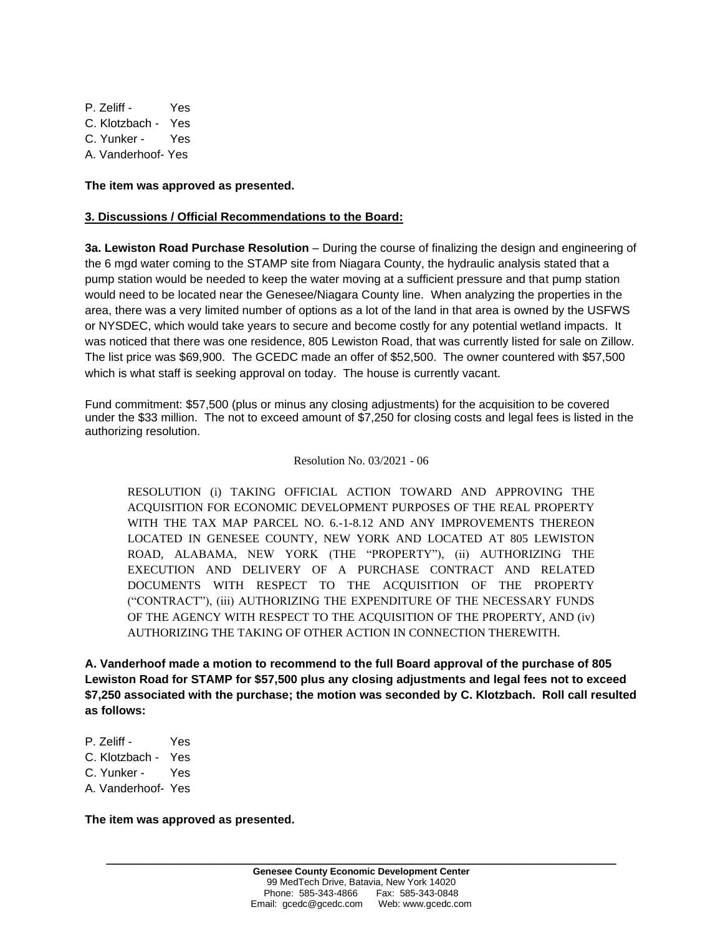P. Zeliff - Yes C. Klotzbach - Yes C. Yunker - Yes A. Vanderhoof- Yes

**The item was approved as presented.**

## **3. Discussions / Official Recommendations to the Board:**

**3a. Lewiston Road Purchase Resolution** – During the course of finalizing the design and engineering of the 6 mgd water coming to the STAMP site from Niagara County, the hydraulic analysis stated that a pump station would be needed to keep the water moving at a sufficient pressure and that pump station would need to be located near the Genesee/Niagara County line. When analyzing the properties in the area, there was a very limited number of options as a lot of the land in that area is owned by the USFWS or NYSDEC, which would take years to secure and become costly for any potential wetland impacts. It was noticed that there was one residence, 805 Lewiston Road, that was currently listed for sale on Zillow. The list price was \$69,900. The GCEDC made an offer of \$52,500. The owner countered with \$57,500 which is what staff is seeking approval on today. The house is currently vacant.

Fund commitment: \$57,500 (plus or minus any closing adjustments) for the acquisition to be covered under the \$33 million. The not to exceed amount of \$7,250 for closing costs and legal fees is listed in the authorizing resolution.

#### Resolution No. 03/2021 - 06

RESOLUTION (i) TAKING OFFICIAL ACTION TOWARD AND APPROVING THE ACQUISITION FOR ECONOMIC DEVELOPMENT PURPOSES OF THE REAL PROPERTY WITH THE TAX MAP PARCEL NO. 6.-1-8.12 AND ANY IMPROVEMENTS THEREON LOCATED IN GENESEE COUNTY, NEW YORK AND LOCATED AT 805 LEWISTON ROAD, ALABAMA, NEW YORK (THE "PROPERTY"), (ii) AUTHORIZING THE EXECUTION AND DELIVERY OF A PURCHASE CONTRACT AND RELATED DOCUMENTS WITH RESPECT TO THE ACQUISITION OF THE PROPERTY ("CONTRACT"), (iii) AUTHORIZING THE EXPENDITURE OF THE NECESSARY FUNDS OF THE AGENCY WITH RESPECT TO THE ACQUISITION OF THE PROPERTY, AND (iv) AUTHORIZING THE TAKING OF OTHER ACTION IN CONNECTION THEREWITH.

**A. Vanderhoof made a motion to recommend to the full Board approval of the purchase of 805 Lewiston Road for STAMP for \$57,500 plus any closing adjustments and legal fees not to exceed \$7,250 associated with the purchase; the motion was seconded by C. Klotzbach. Roll call resulted as follows:**

- P. Zeliff Yes
- C. Klotzbach Yes
- C. Yunker Yes
- A. Vanderhoof- Yes

**The item was approved as presented.**

**\_\_\_\_\_\_\_\_\_\_\_\_\_\_\_\_\_\_\_\_\_\_\_\_\_\_\_\_\_\_\_\_\_\_\_\_\_\_\_\_\_\_\_\_\_\_\_\_\_\_\_\_\_\_\_\_\_\_\_\_\_\_\_\_\_\_\_\_\_\_\_\_**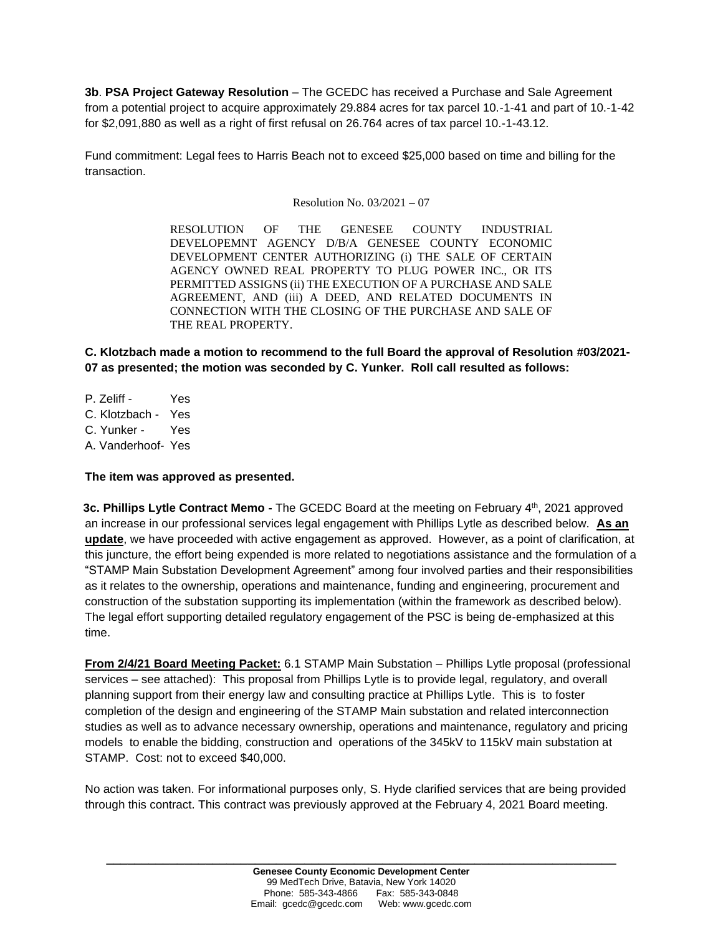**3b**. **PSA Project Gateway Resolution** – The GCEDC has received a Purchase and Sale Agreement from a potential project to acquire approximately 29.884 acres for tax parcel 10.-1-41 and part of 10.-1-42 for \$2,091,880 as well as a right of first refusal on 26.764 acres of tax parcel 10.-1-43.12.

Fund commitment: Legal fees to Harris Beach not to exceed \$25,000 based on time and billing for the transaction.

Resolution No. 03/2021 – 07

RESOLUTION OF THE GENESEE COUNTY INDUSTRIAL DEVELOPEMNT AGENCY D/B/A GENESEE COUNTY ECONOMIC DEVELOPMENT CENTER AUTHORIZING (i) THE SALE OF CERTAIN AGENCY OWNED REAL PROPERTY TO PLUG POWER INC., OR ITS PERMITTED ASSIGNS (ii) THE EXECUTION OF A PURCHASE AND SALE AGREEMENT, AND (iii) A DEED, AND RELATED DOCUMENTS IN CONNECTION WITH THE CLOSING OF THE PURCHASE AND SALE OF THE REAL PROPERTY.

**C. Klotzbach made a motion to recommend to the full Board the approval of Resolution #03/2021- 07 as presented; the motion was seconded by C. Yunker. Roll call resulted as follows:**

P. Zeliff - Yes C. Klotzbach - Yes C. Yunker - Yes A. Vanderhoof- Yes

# **The item was approved as presented.**

**3c. Phillips Lytle Contract Memo -** The GCEDC Board at the meeting on February 4<sup>th</sup>, 2021 approved an increase in our professional services legal engagement with Phillips Lytle as described below. **As an update**, we have proceeded with active engagement as approved. However, as a point of clarification, at this juncture, the effort being expended is more related to negotiations assistance and the formulation of a "STAMP Main Substation Development Agreement" among four involved parties and their responsibilities as it relates to the ownership, operations and maintenance, funding and engineering, procurement and construction of the substation supporting its implementation (within the framework as described below). The legal effort supporting detailed regulatory engagement of the PSC is being de-emphasized at this time.

**From 2/4/21 Board Meeting Packet:** 6.1 STAMP Main Substation – Phillips Lytle proposal (professional services – see attached): This proposal from Phillips Lytle is to provide legal, regulatory, and overall planning support from their energy law and consulting practice at Phillips Lytle. This is to foster completion of the design and engineering of the STAMP Main substation and related interconnection studies as well as to advance necessary ownership, operations and maintenance, regulatory and pricing models to enable the bidding, construction and operations of the 345kV to 115kV main substation at STAMP. Cost: not to exceed \$40,000.

No action was taken. For informational purposes only, S. Hyde clarified services that are being provided through this contract. This contract was previously approved at the February 4, 2021 Board meeting.